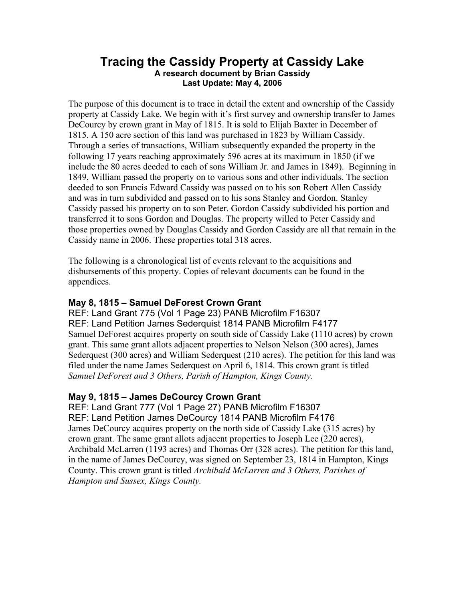### **Tracing the Cassidy Property at Cassidy Lake A research document by Brian Cassidy Last Update: May 4, 2006**

The purpose of this document is to trace in detail the extent and ownership of the Cassidy property at Cassidy Lake. We begin with it's first survey and ownership transfer to James DeCourcy by crown grant in May of 1815. It is sold to Elijah Baxter in December of 1815. A 150 acre section of this land was purchased in 1823 by William Cassidy. Through a series of transactions, William subsequently expanded the property in the following 17 years reaching approximately 596 acres at its maximum in 1850 (if we include the 80 acres deeded to each of sons William Jr. and James in 1849). Beginning in 1849, William passed the property on to various sons and other individuals. The section deeded to son Francis Edward Cassidy was passed on to his son Robert Allen Cassidy and was in turn subdivided and passed on to his sons Stanley and Gordon. Stanley Cassidy passed his property on to son Peter. Gordon Cassidy subdivided his portion and transferred it to sons Gordon and Douglas. The property willed to Peter Cassidy and those properties owned by Douglas Cassidy and Gordon Cassidy are all that remain in the Cassidy name in 2006. These properties total 318 acres.

The following is a chronological list of events relevant to the acquisitions and disbursements of this property. Copies of relevant documents can be found in the appendices.

#### **May 8, 1815 – Samuel DeForest Crown Grant**

REF: Land Grant 775 (Vol 1 Page 23) PANB Microfilm F16307 REF: Land Petition James Sederquist 1814 PANB Microfilm F4177 Samuel DeForest acquires property on south side of Cassidy Lake (1110 acres) by crown grant. This same grant allots adjacent properties to Nelson Nelson (300 acres), James Sederquest (300 acres) and William Sederquest (210 acres). The petition for this land was filed under the name James Sederquest on April 6, 1814. This crown grant is titled *Samuel DeForest and 3 Others, Parish of Hampton, Kings County.*

### **May 9, 1815 – James DeCourcy Crown Grant**

REF: Land Grant 777 (Vol 1 Page 27) PANB Microfilm F16307 REF: Land Petition James DeCourcy 1814 PANB Microfilm F4176 James DeCourcy acquires property on the north side of Cassidy Lake (315 acres) by crown grant. The same grant allots adjacent properties to Joseph Lee (220 acres), Archibald McLarren (1193 acres) and Thomas Orr (328 acres). The petition for this land, in the name of James DeCourcy, was signed on September 23, 1814 in Hampton, Kings County. This crown grant is titled *Archibald McLarren and 3 Others, Parishes of Hampton and Sussex, Kings County.*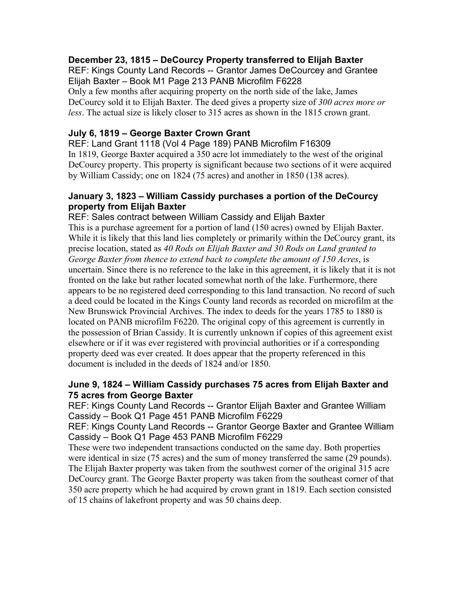#### **December 23, 1815 – DeCourcy Property transferred to Elijah Baxter**

REF: Kings County Land Records -- Grantor James DeCourcey and Grantee Elijah Baxter – Book M1 Page 213 PANB Microfilm F6228 Only a few months after acquiring property on the north side of the lake, James DeCourcy sold it to Elijah Baxter. The deed gives a property size of *300 acres more or less*. The actual size is likely closer to 315 acres as shown in the 1815 crown grant.

#### **July 6, 1819 – George Baxter Crown Grant**

REF: Land Grant 1118 (Vol 4 Page 189) PANB Microfilm F16309 In 1819, George Baxter acquired a 350 acre lot immediately to the west of the original DeCourcy property. This property is significant because two sections of it were acquired by William Cassidy; one on 1824 (75 acres) and another in 1850 (138 acres).

#### **January 3, 1823 – William Cassidy purchases a portion of the DeCourcy property from Elijah Baxter**

REF: Sales contract between William Cassidy and Elijah Baxter This is a purchase agreement for a portion of land (150 acres) owned by Elijah Baxter. While it is likely that this land lies completely or primarily within the DeCourcy grant, its precise location, stated as *40 Rods on Elijah Baxter and 30 Rods on Land granted to George Baxter from thence to extend back to complete the amount of 150 Acres*, is uncertain. Since there is no reference to the lake in this agreement, it is likely that it is not fronted on the lake but rather located somewhat north of the lake. Furthermore, there appears to be no registered deed corresponding to this land transaction. No record of such a deed could be located in the Kings County land records as recorded on microfilm at the New Brunswick Provincial Archives. The index to deeds for the years 1785 to 1880 is located on PANB microfilm F6220. The original copy of this agreement is currently in the possession of Brian Cassidy. It is currently unknown if copies of this agreement exist elsewhere or if it was ever registered with provincial authorities or if a corresponding property deed was ever created. It does appear that the property referenced in this document is included in the deeds of 1824 and/or 1850.

#### **June 9, 1824 – William Cassidy purchases 75 acres from Elijah Baxter and 75 acres from George Baxter**

REF: Kings County Land Records -- Grantor Elijah Baxter and Grantee William Cassidy – Book Q1 Page 451 PANB Microfilm F6229

REF: Kings County Land Records -- Grantor George Baxter and Grantee William Cassidy – Book Q1 Page 453 PANB Microfilm F6229

These were two independent transactions conducted on the same day. Both properties were identical in size (75 acres) and the sum of money transferred the same (29 pounds). The Elijah Baxter property was taken from the southwest corner of the original 315 acre DeCourcy grant. The George Baxter property was taken from the southeast corner of that 350 acre property which he had acquired by crown grant in 1819. Each section consisted of 15 chains of lakefront property and was 50 chains deep.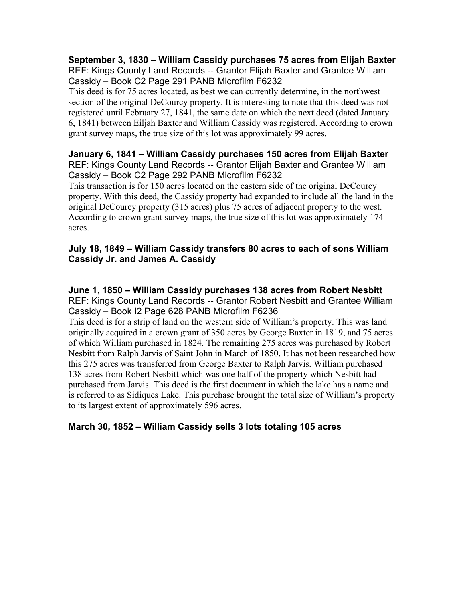#### **September 3, 1830 – William Cassidy purchases 75 acres from Elijah Baxter** REF: Kings County Land Records -- Grantor Elijah Baxter and Grantee William Cassidy – Book C2 Page 291 PANB Microfilm F6232

This deed is for 75 acres located, as best we can currently determine, in the northwest section of the original DeCourcy property. It is interesting to note that this deed was not registered until February 27, 1841, the same date on which the next deed (dated January 6, 1841) between Eiljah Baxter and William Cassidy was registered. According to crown grant survey maps, the true size of this lot was approximately 99 acres.

#### **January 6, 1841 – William Cassidy purchases 150 acres from Elijah Baxter** REF: Kings County Land Records -- Grantor Elijah Baxter and Grantee William Cassidy – Book C2 Page 292 PANB Microfilm F6232

This transaction is for 150 acres located on the eastern side of the original DeCourcy property. With this deed, the Cassidy property had expanded to include all the land in the original DeCourcy property (315 acres) plus 75 acres of adjacent property to the west. According to crown grant survey maps, the true size of this lot was approximately 174 acres.

#### **July 18, 1849 – William Cassidy transfers 80 acres to each of sons William Cassidy Jr. and James A. Cassidy**

#### **June 1, 1850 – William Cassidy purchases 138 acres from Robert Nesbitt** REF: Kings County Land Records -- Grantor Robert Nesbitt and Grantee William Cassidy – Book I2 Page 628 PANB Microfilm F6236

This deed is for a strip of land on the western side of William's property. This was land originally acquired in a crown grant of 350 acres by George Baxter in 1819, and 75 acres of which William purchased in 1824. The remaining 275 acres was purchased by Robert Nesbitt from Ralph Jarvis of Saint John in March of 1850. It has not been researched how this 275 acres was transferred from George Baxter to Ralph Jarvis. William purchased 138 acres from Robert Nesbitt which was one half of the property which Nesbitt had purchased from Jarvis. This deed is the first document in which the lake has a name and is referred to as Sidiques Lake. This purchase brought the total size of William's property to its largest extent of approximately 596 acres.

### **March 30, 1852 – William Cassidy sells 3 lots totaling 105 acres**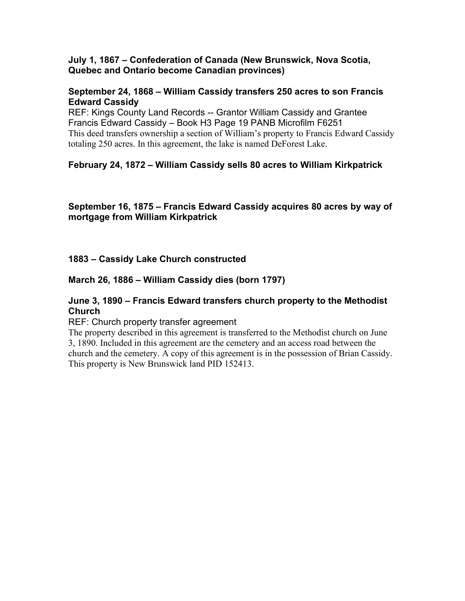#### **July 1, 1867 – Confederation of Canada (New Brunswick, Nova Scotia, Quebec and Ontario become Canadian provinces)**

#### **September 24, 1868 – William Cassidy transfers 250 acres to son Francis Edward Cassidy**

REF: Kings County Land Records -- Grantor William Cassidy and Grantee Francis Edward Cassidy – Book H3 Page 19 PANB Microfilm F6251 This deed transfers ownership a section of William's property to Francis Edward Cassidy totaling 250 acres. In this agreement, the lake is named DeForest Lake.

### **February 24, 1872 – William Cassidy sells 80 acres to William Kirkpatrick**

**September 16, 1875 – Francis Edward Cassidy acquires 80 acres by way of mortgage from William Kirkpatrick**

#### **1883 – Cassidy Lake Church constructed**

#### **March 26, 1886 – William Cassidy dies (born 1797)**

#### **June 3, 1890 – Francis Edward transfers church property to the Methodist Church**

REF: Church property transfer agreement

The property described in this agreement is transferred to the Methodist church on June 3, 1890. Included in this agreement are the cemetery and an access road between the church and the cemetery. A copy of this agreement is in the possession of Brian Cassidy. This property is New Brunswick land PID 152413.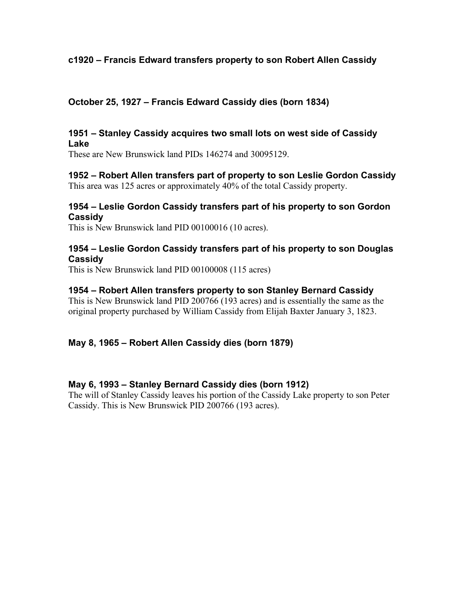#### **c1920 – Francis Edward transfers property to son Robert Allen Cassidy**

#### **October 25, 1927 – Francis Edward Cassidy dies (born 1834)**

#### **1951 – Stanley Cassidy acquires two small lots on west side of Cassidy Lake**

These are New Brunswick land PIDs 146274 and 30095129.

#### **1952 – Robert Allen transfers part of property to son Leslie Gordon Cassidy** This area was 125 acres or approximately 40% of the total Cassidy property.

#### **1954 – Leslie Gordon Cassidy transfers part of his property to son Gordon Cassidy**

This is New Brunswick land PID 00100016 (10 acres).

#### **1954 – Leslie Gordon Cassidy transfers part of his property to son Douglas Cassidy**

This is New Brunswick land PID 00100008 (115 acres)

#### **1954 – Robert Allen transfers property to son Stanley Bernard Cassidy**

This is New Brunswick land PID 200766 (193 acres) and is essentially the same as the original property purchased by William Cassidy from Elijah Baxter January 3, 1823.

### **May 8, 1965 – Robert Allen Cassidy dies (born 1879)**

### **May 6, 1993 – Stanley Bernard Cassidy dies (born 1912)**

The will of Stanley Cassidy leaves his portion of the Cassidy Lake property to son Peter Cassidy. This is New Brunswick PID 200766 (193 acres).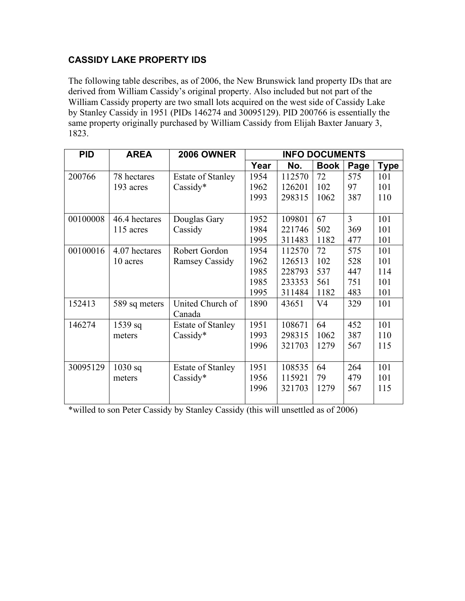## **CASSIDY LAKE PROPERTY IDS**

The following table describes, as of 2006, the New Brunswick land property IDs that are derived from William Cassidy's original property. Also included but not part of the William Cassidy property are two small lots acquired on the west side of Cassidy Lake by Stanley Cassidy in 1951 (PIDs 146274 and 30095129). PID 200766 is essentially the same property originally purchased by William Cassidy from Elijah Baxter January 3, 1823.

| <b>PID</b> | <b>AREA</b>   | <b>2006 OWNER</b>        | <b>INFO DOCUMENTS</b> |        |                |      |             |
|------------|---------------|--------------------------|-----------------------|--------|----------------|------|-------------|
|            |               |                          | Year                  | No.    | <b>Book</b>    | Page | <b>Type</b> |
| 200766     | 78 hectares   | <b>Estate of Stanley</b> | 1954                  | 112570 | 72             | 575  | 101         |
|            | 193 acres     | Cassidy*                 | 1962                  | 126201 | 102            | 97   | 101         |
|            |               |                          | 1993                  | 298315 | 1062           | 387  | 110         |
|            |               |                          |                       |        |                |      |             |
| 00100008   | 46.4 hectares | Douglas Gary             | 1952                  | 109801 | 67             | 3    | 101         |
|            | 115 acres     | Cassidy                  | 1984                  | 221746 | 502            | 369  | 101         |
|            |               |                          | 1995                  | 311483 | 1182           | 477  | 101         |
| 00100016   | 4.07 hectares | Robert Gordon            | 1954                  | 112570 | 72             | 575  | 101         |
|            | 10 acres      | <b>Ramsey Cassidy</b>    | 1962                  | 126513 | 102            | 528  | 101         |
|            |               |                          | 1985                  | 228793 | 537            | 447  | 114         |
|            |               |                          | 1985                  | 233353 | 561            | 751  | 101         |
|            |               |                          | 1995                  | 311484 | 1182           | 483  | 101         |
| 152413     | 589 sq meters | United Church of         | 1890                  | 43651  | V <sub>4</sub> | 329  | 101         |
|            |               | Canada                   |                       |        |                |      |             |
| 146274     | $1539$ sq     | <b>Estate of Stanley</b> | 1951                  | 108671 | 64             | 452  | 101         |
|            | meters        | Cassidy*                 | 1993                  | 298315 | 1062           | 387  | 110         |
|            |               |                          | 1996                  | 321703 | 1279           | 567  | 115         |
|            |               |                          |                       |        |                |      |             |
| 30095129   | $1030$ sq     | <b>Estate of Stanley</b> | 1951                  | 108535 | 64             | 264  | 101         |
|            | meters        | Cassidy*                 | 1956                  | 115921 | 79             | 479  | 101         |
|            |               |                          | 1996                  | 321703 | 1279           | 567  | 115         |
|            |               |                          |                       |        |                |      |             |

\*willed to son Peter Cassidy by Stanley Cassidy (this will unsettled as of 2006)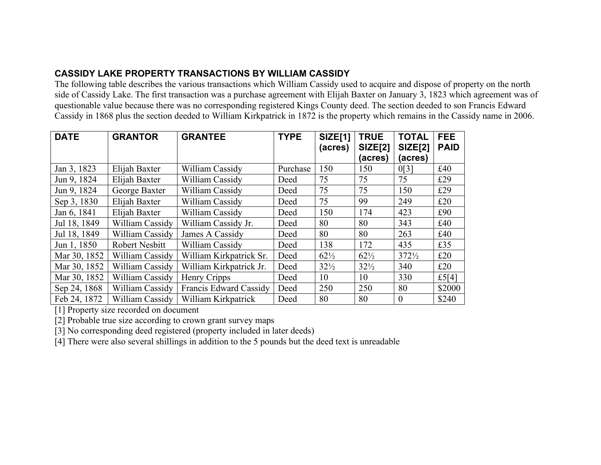## **CASSIDY LAKE PROPERTY TRANSACTIONS BY WILLIAM CASSIDY**

The following table describes the various transactions which William Cassidy used to acquire and dispose of property on the north side of Cassidy Lake. The first transaction was a purchase agreement with Elijah Baxter on January 3, 1823 which agreement was of questionable value because there was no corresponding registered Kings County deed. The section deeded to son Francis Edward Cassidy in 1868 plus the section deeded to William Kirkpatrick in 1872 is the property which remains in the Cassidy name in 2006.

| <b>DATE</b>  | <b>GRANTOR</b>  | <b>GRANTEE</b>          | <b>TYPE</b> | <b>SIZE[1]</b><br>(acres) | <b>TRUE</b><br><b>SIZE[2]</b> | <b>TOTAL</b><br><b>SIZE[2]</b> | <b>FEE</b><br><b>PAID</b> |
|--------------|-----------------|-------------------------|-------------|---------------------------|-------------------------------|--------------------------------|---------------------------|
|              |                 |                         |             |                           | (acres)                       | (acres)                        |                           |
| Jan 3, 1823  | Elijah Baxter   | William Cassidy         | Purchase    | 150                       | 150                           | 0[3]                           | £40                       |
| Jun 9, 1824  | Elijah Baxter   | William Cassidy         | Deed        | 75                        | 75                            | 75                             | £29                       |
| Jun 9, 1824  | George Baxter   | William Cassidy         | Deed        | 75                        | 75                            | 150                            | £29                       |
| Sep 3, 1830  | Elijah Baxter   | William Cassidy         | Deed        | 75                        | 99                            | 249                            | £20                       |
| Jan 6, 1841  | Elijah Baxter   | William Cassidy         | Deed        | 150                       | 174                           | 423                            | £90                       |
| Jul 18, 1849 | William Cassidy | William Cassidy Jr.     | Deed        | 80                        | 80                            | 343                            | £40                       |
| Jul 18, 1849 | William Cassidy | James A Cassidy         | Deed        | 80                        | 80                            | 263                            | £40                       |
| Jun 1, 1850  | Robert Nesbitt  | William Cassidy         | Deed        | 138                       | 172                           | 435                            | £35                       |
| Mar 30, 1852 | William Cassidy | William Kirkpatrick Sr. | Deed        | $62\frac{1}{2}$           | $62\frac{1}{2}$               | $372\frac{1}{2}$               | £20                       |
| Mar 30, 1852 | William Cassidy | William Kirkpatrick Jr. | Deed        | $32\frac{1}{2}$           | $32\frac{1}{2}$               | 340                            | £20                       |
| Mar 30, 1852 | William Cassidy | Henry Cripps            | Deed        | 10                        | 10                            | 330                            | £5[4]                     |
| Sep 24, 1868 | William Cassidy | Francis Edward Cassidy  | Deed        | 250                       | 250                           | 80                             | \$2000                    |
| Feb 24, 1872 | William Cassidy | William Kirkpatrick     | Deed        | 80                        | 80                            | $\theta$                       | \$240                     |

[1] Property size recorded on document

[2] Probable true size according to crown grant survey maps

[3] No corresponding deed registered (property included in later deeds)

[4] There were also several shillings in addition to the 5 pounds but the deed text is unreadable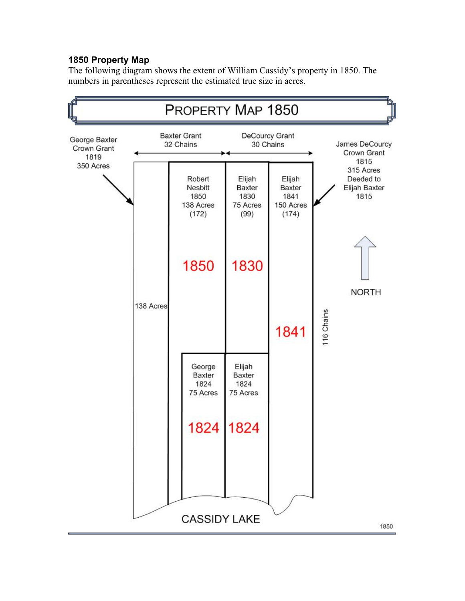### **1850 Property Map**

The following diagram shows the extent of William Cassidy's property in 1850. The numbers in parentheses represent the estimated true size in acres.

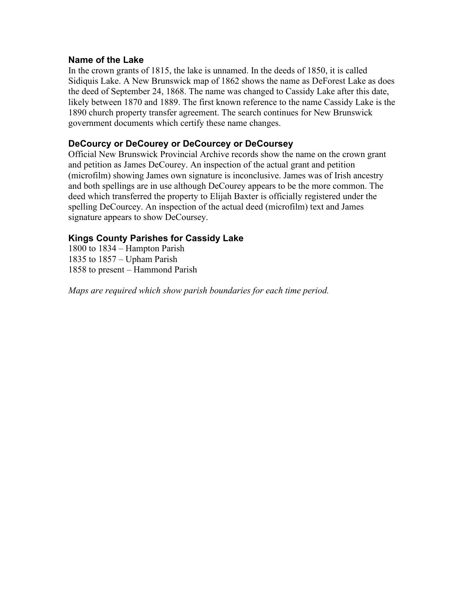#### **Name of the Lake**

In the crown grants of 1815, the lake is unnamed. In the deeds of 1850, it is called Sidiquis Lake. A New Brunswick map of 1862 shows the name as DeForest Lake as does the deed of September 24, 1868. The name was changed to Cassidy Lake after this date, likely between 1870 and 1889. The first known reference to the name Cassidy Lake is the 1890 church property transfer agreement. The search continues for New Brunswick government documents which certify these name changes.

#### **DeCourcy or DeCourey or DeCourcey or DeCoursey**

Official New Brunswick Provincial Archive records show the name on the crown grant and petition as James DeCourey. An inspection of the actual grant and petition (microfilm) showing James own signature is inconclusive. James was of Irish ancestry and both spellings are in use although DeCourey appears to be the more common. The deed which transferred the property to Elijah Baxter is officially registered under the spelling DeCourcey. An inspection of the actual deed (microfilm) text and James signature appears to show DeCoursey.

#### **Kings County Parishes for Cassidy Lake**

1800 to 1834 – Hampton Parish 1835 to 1857 – Upham Parish 1858 to present – Hammond Parish

*Maps are required which show parish boundaries for each time period.*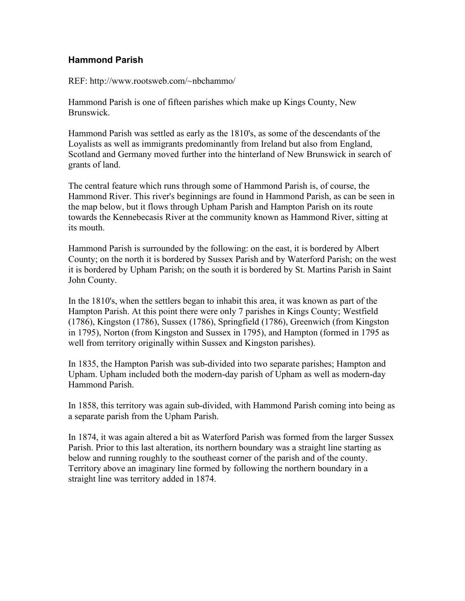#### **Hammond Parish**

REF: http://www.rootsweb.com/~nbchammo/

Hammond Parish is one of fifteen parishes which make up Kings County, New Brunswick.

Hammond Parish was settled as early as the 1810's, as some of the descendants of the Loyalists as well as immigrants predominantly from Ireland but also from England, Scotland and Germany moved further into the hinterland of New Brunswick in search of grants of land.

The central feature which runs through some of Hammond Parish is, of course, the Hammond River. This river's beginnings are found in Hammond Parish, as can be seen in the map below, but it flows through Upham Parish and Hampton Parish on its route towards the Kennebecasis River at the community known as Hammond River, sitting at its mouth.

Hammond Parish is surrounded by the following: on the east, it is bordered by Albert County; on the north it is bordered by Sussex Parish and by Waterford Parish; on the west it is bordered by Upham Parish; on the south it is bordered by St. Martins Parish in Saint John County.

In the 1810's, when the settlers began to inhabit this area, it was known as part of the Hampton Parish. At this point there were only 7 parishes in Kings County; Westfield (1786), Kingston (1786), Sussex (1786), Springfield (1786), Greenwich (from Kingston in 1795), Norton (from Kingston and Sussex in 1795), and Hampton (formed in 1795 as well from territory originally within Sussex and Kingston parishes).

In 1835, the Hampton Parish was sub-divided into two separate parishes; Hampton and Upham. Upham included both the modern-day parish of Upham as well as modern-day Hammond Parish.

In 1858, this territory was again sub-divided, with Hammond Parish coming into being as a separate parish from the Upham Parish.

In 1874, it was again altered a bit as Waterford Parish was formed from the larger Sussex Parish. Prior to this last alteration, its northern boundary was a straight line starting as below and running roughly to the southeast corner of the parish and of the county. Territory above an imaginary line formed by following the northern boundary in a straight line was territory added in 1874.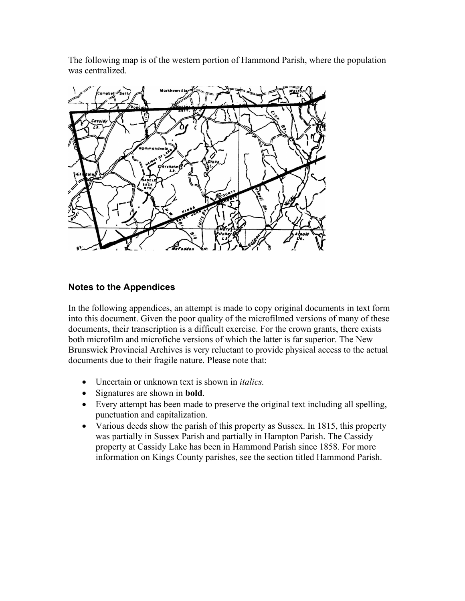The following map is of the western portion of Hammond Parish, where the population was centralized.



#### **Notes to the Appendices**

In the following appendices, an attempt is made to copy original documents in text form into this document. Given the poor quality of the microfilmed versions of many of these documents, their transcription is a difficult exercise. For the crown grants, there exists both microfilm and microfiche versions of which the latter is far superior. The New Brunswick Provincial Archives is very reluctant to provide physical access to the actual documents due to their fragile nature. Please note that:

- Uncertain or unknown text is shown in *italics.*
- Signatures are shown in **bold**.
- Every attempt has been made to preserve the original text including all spelling, punctuation and capitalization.
- Various deeds show the parish of this property as Sussex. In 1815, this property was partially in Sussex Parish and partially in Hampton Parish. The Cassidy property at Cassidy Lake has been in Hammond Parish since 1858. For more information on Kings County parishes, see the section titled Hammond Parish.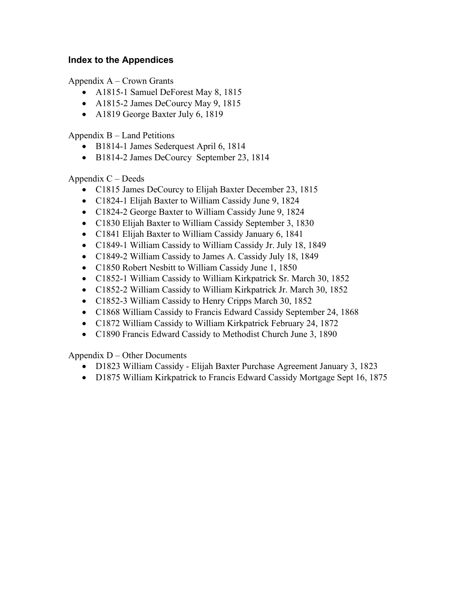#### **Index to the Appendices**

Appendix A – Crown Grants

- A1815-1 Samuel DeForest May 8, 1815
- A1815-2 James DeCourcy May 9, 1815
- A1819 George Baxter July 6, 1819

Appendix B – Land Petitions

- B1814-1 James Sederquest April 6, 1814
- B1814-2 James DeCourcy September 23, 1814

Appendix  $C$  – Deeds

- C1815 James DeCourcy to Elijah Baxter December 23, 1815
- C1824-1 Elijah Baxter to William Cassidy June 9, 1824
- C1824-2 George Baxter to William Cassidy June 9, 1824
- C1830 Elijah Baxter to William Cassidy September 3, 1830
- C1841 Elijah Baxter to William Cassidy January 6, 1841
- C1849-1 William Cassidy to William Cassidy Jr. July 18, 1849
- C1849-2 William Cassidy to James A. Cassidy July 18, 1849
- C1850 Robert Nesbitt to William Cassidy June 1, 1850
- C1852-1 William Cassidy to William Kirkpatrick Sr. March 30, 1852
- C1852-2 William Cassidy to William Kirkpatrick Jr. March 30, 1852
- C1852-3 William Cassidy to Henry Cripps March 30, 1852
- C1868 William Cassidy to Francis Edward Cassidy September 24, 1868
- C1872 William Cassidy to William Kirkpatrick February 24, 1872
- C1890 Francis Edward Cassidy to Methodist Church June 3, 1890

Appendix D – Other Documents

- D1823 William Cassidy Elijah Baxter Purchase Agreement January 3, 1823
- D1875 William Kirkpatrick to Francis Edward Cassidy Mortgage Sept 16, 1875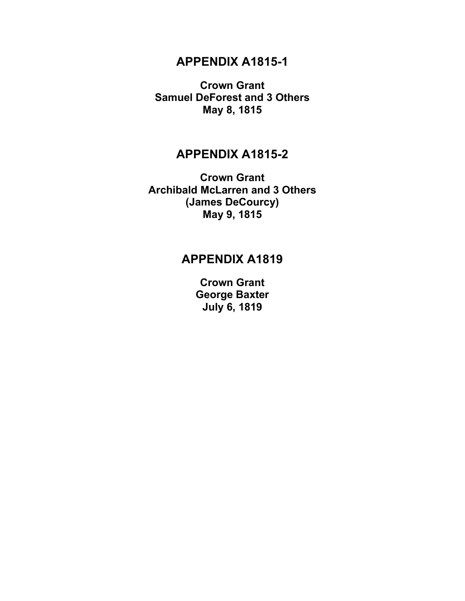## **APPENDIX A1815-1**

**Crown Grant Samuel DeForest and 3 Others May 8, 1815**

## **APPENDIX A1815-2**

**Crown Grant Archibald McLarren and 3 Others (James DeCourcy) May 9, 1815**

## **APPENDIX A1819**

**Crown Grant George Baxter July 6, 1819**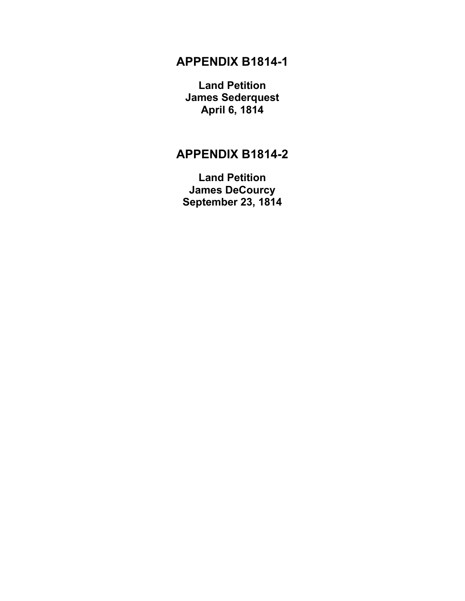## **APPENDIX B1814-1**

**Land Petition James Sederquest April 6, 1814**

# **APPENDIX B1814-2**

**Land Petition James DeCourcy September 23, 1814**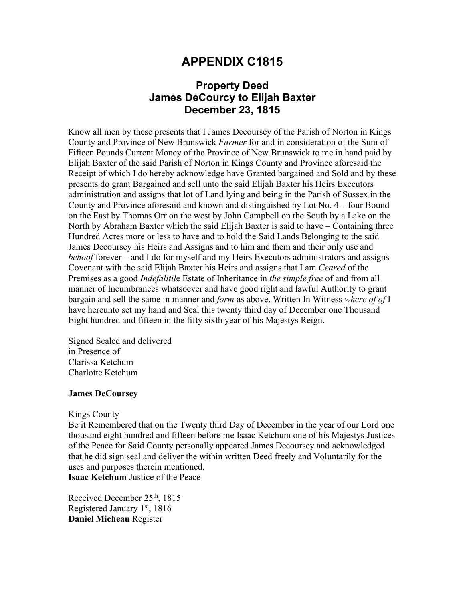## **Property Deed James DeCourcy to Elijah Baxter December 23, 1815**

Know all men by these presents that I James Decoursey of the Parish of Norton in Kings County and Province of New Brunswick *Farmer* for and in consideration of the Sum of Fifteen Pounds Current Money of the Province of New Brunswick to me in hand paid by Elijah Baxter of the said Parish of Norton in Kings County and Province aforesaid the Receipt of which I do hereby acknowledge have Granted bargained and Sold and by these presents do grant Bargained and sell unto the said Elijah Baxter his Heirs Executors administration and assigns that lot of Land lying and being in the Parish of Sussex in the County and Province aforesaid and known and distinguished by Lot No. 4 – four Bound on the East by Thomas Orr on the west by John Campbell on the South by a Lake on the North by Abraham Baxter which the said Elijah Baxter is said to have – Containing three Hundred Acres more or less to have and to hold the Said Lands Belonging to the said James Decoursey his Heirs and Assigns and to him and them and their only use and *behoof* forever – and I do for myself and my Heirs Executors administrators and assigns Covenant with the said Elijah Baxter his Heirs and assigns that I am *Ceared* of the Premises as a good *Indefalitil*e Estate of Inheritance in *the simple free* of and from all manner of Incumbrances whatsoever and have good right and lawful Authority to grant bargain and sell the same in manner and *form* as above. Written In Witness *where of of* I have hereunto set my hand and Seal this twenty third day of December one Thousand Eight hundred and fifteen in the fifty sixth year of his Majestys Reign.

Signed Sealed and delivered in Presence of Clarissa Ketchum Charlotte Ketchum

#### **James DeCoursey**

#### Kings County

Be it Remembered that on the Twenty third Day of December in the year of our Lord one thousand eight hundred and fifteen before me Isaac Ketchum one of his Majestys Justices of the Peace for Said County personally appeared James Decoursey and acknowledged that he did sign seal and deliver the within written Deed freely and Voluntarily for the uses and purposes therein mentioned.

**Isaac Ketchum** Justice of the Peace

Received December 25<sup>th</sup>, 1815 Registered January  $1<sup>st</sup>$ , 1816 **Daniel Micheau** Register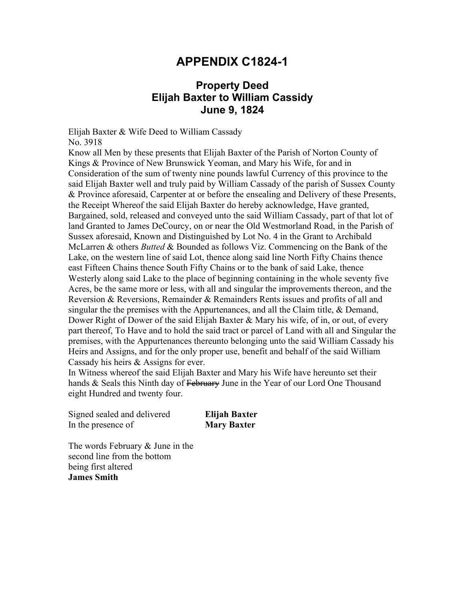## **APPENDIX C1824-1**

## **Property Deed Elijah Baxter to William Cassidy June 9, 1824**

Elijah Baxter & Wife Deed to William Cassady No. 3918

Know all Men by these presents that Elijah Baxter of the Parish of Norton County of Kings & Province of New Brunswick Yeoman, and Mary his Wife, for and in Consideration of the sum of twenty nine pounds lawful Currency of this province to the said Elijah Baxter well and truly paid by William Cassady of the parish of Sussex County & Province aforesaid, Carpenter at or before the ensealing and Delivery of these Presents, the Receipt Whereof the said Elijah Baxter do hereby acknowledge, Have granted, Bargained, sold, released and conveyed unto the said William Cassady, part of that lot of land Granted to James DeCourcy, on or near the Old Westmorland Road, in the Parish of Sussex aforesaid, Known and Distinguished by Lot No. 4 in the Grant to Archibald McLarren & others *Butted* & Bounded as follows Viz. Commencing on the Bank of the Lake, on the western line of said Lot, thence along said line North Fifty Chains thence east Fifteen Chains thence South Fifty Chains or to the bank of said Lake, thence Westerly along said Lake to the place of beginning containing in the whole seventy five Acres, be the same more or less, with all and singular the improvements thereon, and the Reversion & Reversions, Remainder & Remainders Rents issues and profits of all and singular the the premises with the Appurtenances, and all the Claim title, & Demand, Dower Right of Dower of the said Elijah Baxter & Mary his wife, of in, or out, of every part thereof, To Have and to hold the said tract or parcel of Land with all and Singular the premises, with the Appurtenances thereunto belonging unto the said William Cassady his Heirs and Assigns, and for the only proper use, benefit and behalf of the said William Cassady his heirs & Assigns for ever.

In Witness whereof the said Elijah Baxter and Mary his Wife have hereunto set their hands & Seals this Ninth day of February June in the Year of our Lord One Thousand eight Hundred and twenty four.

Signed sealed and delivered **Elijah Baxter** In the presence of **Mary Baxter**

The words February & June in the second line from the bottom being first altered **James Smith**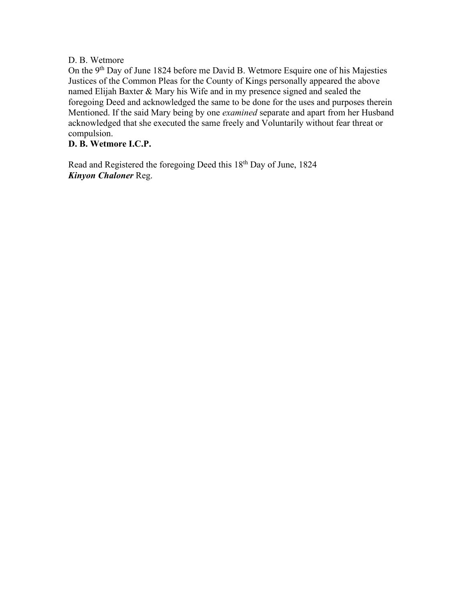#### D. B. Wetmore

On the 9<sup>th</sup> Day of June 1824 before me David B. Wetmore Esquire one of his Majesties Justices of the Common Pleas for the County of Kings personally appeared the above named Elijah Baxter & Mary his Wife and in my presence signed and sealed the foregoing Deed and acknowledged the same to be done for the uses and purposes therein Mentioned. If the said Mary being by one *examined* separate and apart from her Husband acknowledged that she executed the same freely and Voluntarily without fear threat or compulsion.

#### **D. B. Wetmore I.C.P.**

Read and Registered the foregoing Deed this 18th Day of June, 1824 *Kinyon Chaloner* Reg.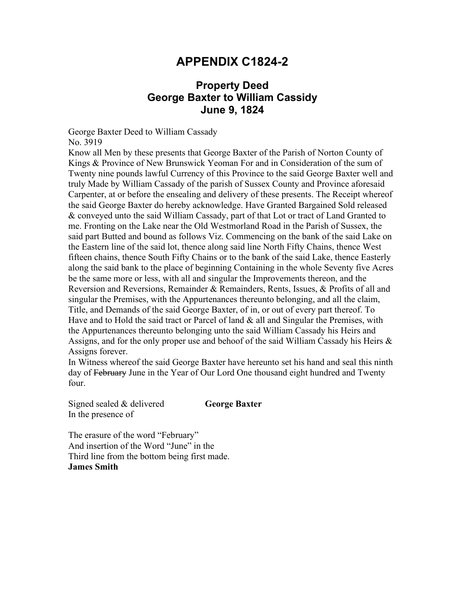## **APPENDIX C1824-2**

## **Property Deed George Baxter to William Cassidy June 9, 1824**

George Baxter Deed to William Cassady

No. 3919

Know all Men by these presents that George Baxter of the Parish of Norton County of Kings & Province of New Brunswick Yeoman For and in Consideration of the sum of Twenty nine pounds lawful Currency of this Province to the said George Baxter well and truly Made by William Cassady of the parish of Sussex County and Province aforesaid Carpenter, at or before the ensealing and delivery of these presents. The Receipt whereof the said George Baxter do hereby acknowledge. Have Granted Bargained Sold released & conveyed unto the said William Cassady, part of that Lot or tract of Land Granted to me. Fronting on the Lake near the Old Westmorland Road in the Parish of Sussex, the said part Butted and bound as follows Viz. Commencing on the bank of the said Lake on the Eastern line of the said lot, thence along said line North Fifty Chains, thence West fifteen chains, thence South Fifty Chains or to the bank of the said Lake, thence Easterly along the said bank to the place of beginning Containing in the whole Seventy five Acres be the same more or less, with all and singular the Improvements thereon, and the Reversion and Reversions, Remainder & Remainders, Rents, Issues, & Profits of all and singular the Premises, with the Appurtenances thereunto belonging, and all the claim, Title, and Demands of the said George Baxter, of in, or out of every part thereof. To Have and to Hold the said tract or Parcel of land & all and Singular the Premises, with the Appurtenances thereunto belonging unto the said William Cassady his Heirs and Assigns, and for the only proper use and behoof of the said William Cassady his Heirs & Assigns forever.

In Witness whereof the said George Baxter have hereunto set his hand and seal this ninth day of February June in the Year of Our Lord One thousand eight hundred and Twenty four.

Signed sealed & delivered **George Baxter** In the presence of

The erasure of the word "February" And insertion of the Word "June" in the Third line from the bottom being first made. **James Smith**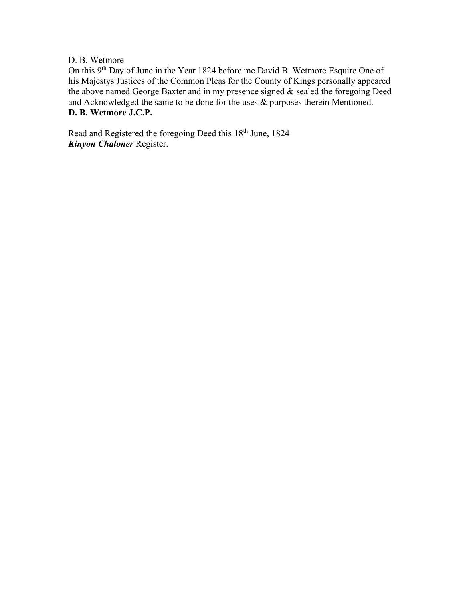#### D. B. Wetmore

On this 9th Day of June in the Year 1824 before me David B. Wetmore Esquire One of his Majestys Justices of the Common Pleas for the County of Kings personally appeared the above named George Baxter and in my presence signed & sealed the foregoing Deed and Acknowledged the same to be done for the uses & purposes therein Mentioned. **D. B. Wetmore J.C.P.**

Read and Registered the foregoing Deed this 18th June, 1824 *Kinyon Chaloner* Register.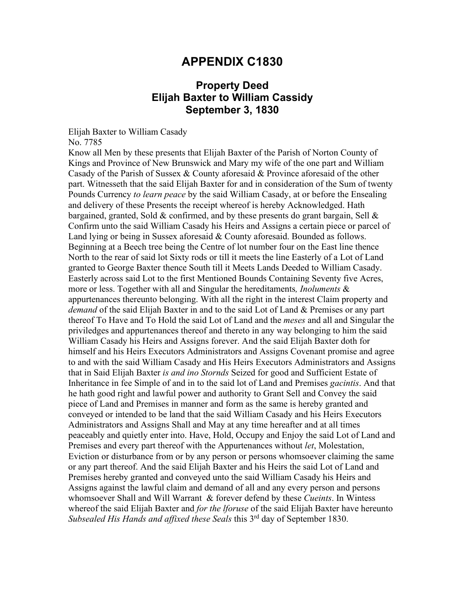## **Property Deed Elijah Baxter to William Cassidy September 3, 1830**

Elijah Baxter to William Casady

No. 7785

Know all Men by these presents that Elijah Baxter of the Parish of Norton County of Kings and Province of New Brunswick and Mary my wife of the one part and William Casady of the Parish of Sussex & County aforesaid & Province aforesaid of the other part. Witnesseth that the said Elijah Baxter for and in consideration of the Sum of twenty Pounds Currency *to learn peace* by the said William Casady, at or before the Ensealing and delivery of these Presents the receipt whereof is hereby Acknowledged. Hath bargained, granted, Sold & confirmed, and by these presents do grant bargain, Sell  $\&$ Confirm unto the said William Casady his Heirs and Assigns a certain piece or parcel of Land lying or being in Sussex aforesaid & County aforesaid. Bounded as follows. Beginning at a Beech tree being the Centre of lot number four on the East line thence North to the rear of said lot Sixty rods or till it meets the line Easterly of a Lot of Land granted to George Baxter thence South till it Meets Lands Deeded to William Casady. Easterly across said Lot to the first Mentioned Bounds Containing Seventy five Acres, more or less. Together with all and Singular the hereditaments*, Inoluments* & appurtenances thereunto belonging. With all the right in the interest Claim property and *demand* of the said Elijah Baxter in and to the said Lot of Land & Premises or any part thereof To Have and To Hold the said Lot of Land and the *meses* and all and Singular the priviledges and appurtenances thereof and thereto in any way belonging to him the said William Casady his Heirs and Assigns forever. And the said Elijah Baxter doth for himself and his Heirs Executors Administrators and Assigns Covenant promise and agree to and with the said William Casady and His Heirs Executors Administrators and Assigns that in Said Elijah Baxter *is and ino Stornds* Seized for good and Sufficient Estate of Inheritance in fee Simple of and in to the said lot of Land and Premises *gacintis*. And that he hath good right and lawful power and authority to Grant Sell and Convey the said piece of Land and Premises in manner and form as the same is hereby granted and conveyed or intended to be land that the said William Casady and his Heirs Executors Administrators and Assigns Shall and May at any time hereafter and at all times peaceably and quietly enter into. Have, Hold, Occupy and Enjoy the said Lot of Land and Premises and every part thereof with the Appurtenances without *let*, Molestation, Eviction or disturbance from or by any person or persons whomsoever claiming the same or any part thereof. And the said Elijah Baxter and his Heirs the said Lot of Land and Premises hereby granted and conveyed unto the said William Casady his Heirs and Assigns against the lawful claim and demand of all and any every person and persons whomsoever Shall and Will Warrant & forever defend by these *Cueints*. In Wintess whereof the said Elijah Baxter and *for the lforuse* of the said Elijah Baxter have hereunto *Subsealed His Hands and affixed these Seals* this 3rd day of September 1830.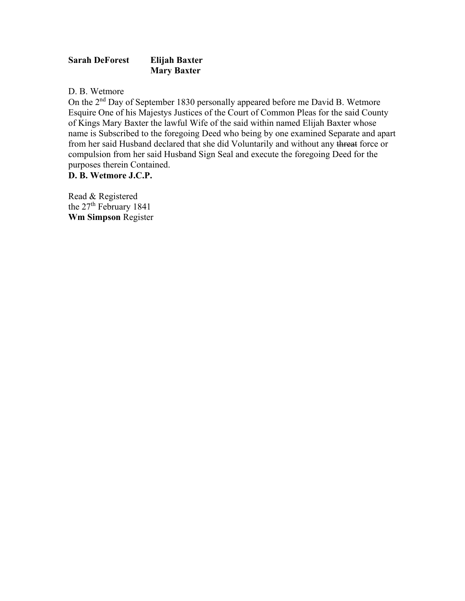#### **Sarah DeForest Elijah Baxter Mary Baxter**

D. B. Wetmore

On the 2nd Day of September 1830 personally appeared before me David B. Wetmore Esquire One of his Majestys Justices of the Court of Common Pleas for the said County of Kings Mary Baxter the lawful Wife of the said within named Elijah Baxter whose name is Subscribed to the foregoing Deed who being by one examined Separate and apart from her said Husband declared that she did Voluntarily and without any threat force or compulsion from her said Husband Sign Seal and execute the foregoing Deed for the purposes therein Contained.

**D. B. Wetmore J.C.P.**

Read & Registered the 27<sup>th</sup> February 1841 **Wm Simpson** Register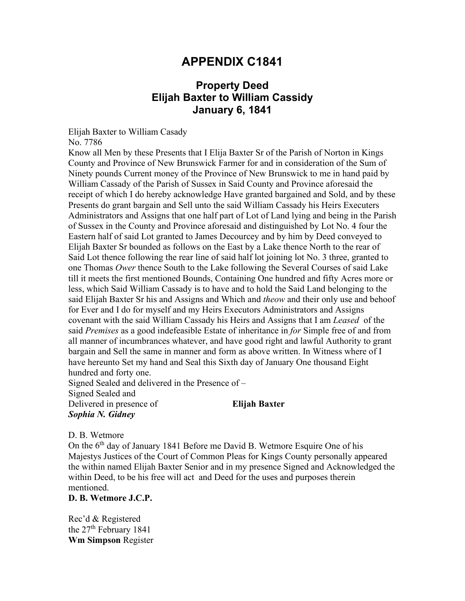## **Property Deed Elijah Baxter to William Cassidy January 6, 1841**

Elijah Baxter to William Casady

No. 7786

Know all Men by these Presents that I Elija Baxter Sr of the Parish of Norton in Kings County and Province of New Brunswick Farmer for and in consideration of the Sum of Ninety pounds Current money of the Province of New Brunswick to me in hand paid by William Cassady of the Parish of Sussex in Said County and Province aforesaid the receipt of which I do hereby acknowledge Have granted bargained and Sold, and by these Presents do grant bargain and Sell unto the said William Cassady his Heirs Executers Administrators and Assigns that one half part of Lot of Land lying and being in the Parish of Sussex in the County and Province aforesaid and distinguished by Lot No. 4 four the Eastern half of said Lot granted to James Decourcey and by him by Deed conveyed to Elijah Baxter Sr bounded as follows on the East by a Lake thence North to the rear of Said Lot thence following the rear line of said half lot joining lot No. 3 three, granted to one Thomas *Ower* thence South to the Lake following the Several Courses of said Lake till it meets the first mentioned Bounds, Containing One hundred and fifty Acres more or less, which Said William Cassady is to have and to hold the Said Land belonging to the said Elijah Baxter Sr his and Assigns and Which and *theow* and their only use and behoof for Ever and I do for myself and my Heirs Executors Administrators and Assigns covenant with the said William Cassady his Heirs and Assigns that I am *Leased* of the said *Premises* as a good indefeasible Estate of inheritance in *for* Simple free of and from all manner of incumbrances whatever, and have good right and lawful Authority to grant bargain and Sell the same in manner and form as above written. In Witness where of I have hereunto Set my hand and Seal this Sixth day of January One thousand Eight hundred and forty one.

Signed Sealed and delivered in the Presence of – Signed Sealed and Delivered in presence of **Elijah Baxter** *Sophia N. Gidney*

D. B. Wetmore

On the 6<sup>th</sup> day of January 1841 Before me David B. Wetmore Esquire One of his Majestys Justices of the Court of Common Pleas for Kings County personally appeared the within named Elijah Baxter Senior and in my presence Signed and Acknowledged the within Deed, to be his free will act and Deed for the uses and purposes therein mentioned.

**D. B. Wetmore J.C.P.**

Rec'd & Registered the  $27<sup>th</sup>$  February 1841 **Wm Simpson** Register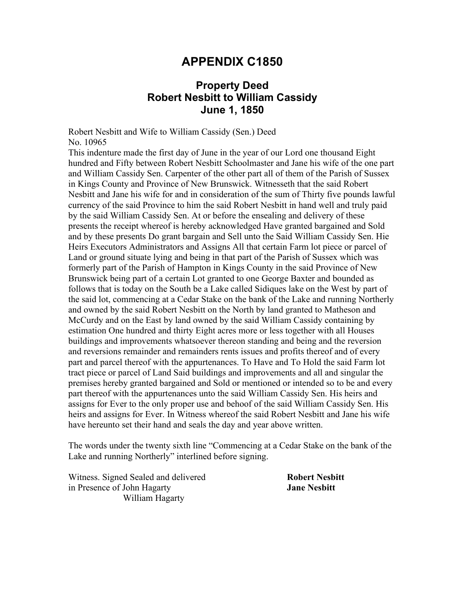## **Property Deed Robert Nesbitt to William Cassidy June 1, 1850**

Robert Nesbitt and Wife to William Cassidy (Sen.) Deed No. 10965

This indenture made the first day of June in the year of our Lord one thousand Eight hundred and Fifty between Robert Nesbitt Schoolmaster and Jane his wife of the one part and William Cassidy Sen. Carpenter of the other part all of them of the Parish of Sussex in Kings County and Province of New Brunswick. Witnesseth that the said Robert Nesbitt and Jane his wife for and in consideration of the sum of Thirty five pounds lawful currency of the said Province to him the said Robert Nesbitt in hand well and truly paid by the said William Cassidy Sen. At or before the ensealing and delivery of these presents the receipt whereof is hereby acknowledged Have granted bargained and Sold and by these presents Do grant bargain and Sell unto the Said William Cassidy Sen. Hie Heirs Executors Administrators and Assigns All that certain Farm lot piece or parcel of Land or ground situate lying and being in that part of the Parish of Sussex which was formerly part of the Parish of Hampton in Kings County in the said Province of New Brunswick being part of a certain Lot granted to one George Baxter and bounded as follows that is today on the South be a Lake called Sidiques lake on the West by part of the said lot, commencing at a Cedar Stake on the bank of the Lake and running Northerly and owned by the said Robert Nesbitt on the North by land granted to Matheson and McCurdy and on the East by land owned by the said William Cassidy containing by estimation One hundred and thirty Eight acres more or less together with all Houses buildings and improvements whatsoever thereon standing and being and the reversion and reversions remainder and remainders rents issues and profits thereof and of every part and parcel thereof with the appurtenances. To Have and To Hold the said Farm lot tract piece or parcel of Land Said buildings and improvements and all and singular the premises hereby granted bargained and Sold or mentioned or intended so to be and every part thereof with the appurtenances unto the said William Cassidy Sen. His heirs and assigns for Ever to the only proper use and behoof of the said William Cassidy Sen. His heirs and assigns for Ever. In Witness whereof the said Robert Nesbitt and Jane his wife have hereunto set their hand and seals the day and year above written.

The words under the twenty sixth line "Commencing at a Cedar Stake on the bank of the Lake and running Northerly" interlined before signing.

Witness. Signed Sealed and delivered **Robert Nesbitt** in Presence of John Hagarty **Jane Nesbitt** William Hagarty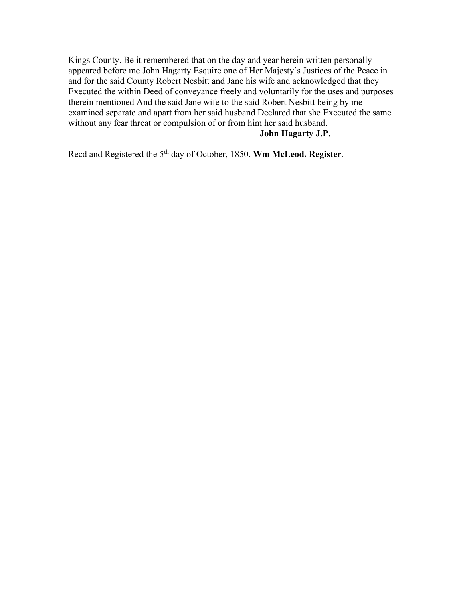Kings County. Be it remembered that on the day and year herein written personally appeared before me John Hagarty Esquire one of Her Majesty's Justices of the Peace in and for the said County Robert Nesbitt and Jane his wife and acknowledged that they Executed the within Deed of conveyance freely and voluntarily for the uses and purposes therein mentioned And the said Jane wife to the said Robert Nesbitt being by me examined separate and apart from her said husband Declared that she Executed the same without any fear threat or compulsion of or from him her said husband. **John Hagarty J.P**.

Recd and Registered the 5th day of October, 1850. **Wm McLeod. Register**.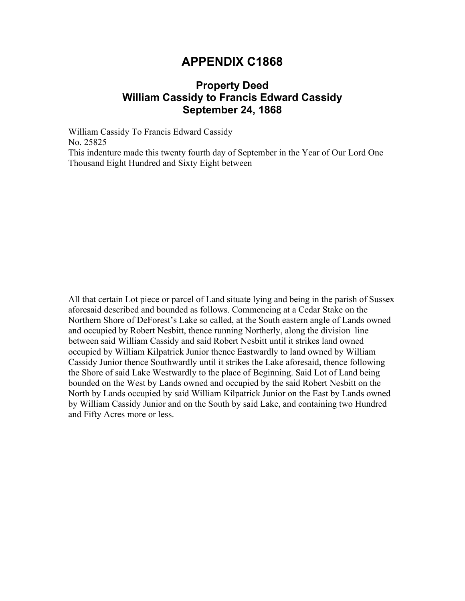## **Property Deed William Cassidy to Francis Edward Cassidy September 24, 1868**

William Cassidy To Francis Edward Cassidy No. 25825 This indenture made this twenty fourth day of September in the Year of Our Lord One Thousand Eight Hundred and Sixty Eight between

All that certain Lot piece or parcel of Land situate lying and being in the parish of Sussex aforesaid described and bounded as follows. Commencing at a Cedar Stake on the Northern Shore of DeForest's Lake so called, at the South eastern angle of Lands owned and occupied by Robert Nesbitt, thence running Northerly, along the division line between said William Cassidy and said Robert Nesbitt until it strikes land owned occupied by William Kilpatrick Junior thence Eastwardly to land owned by William Cassidy Junior thence Southwardly until it strikes the Lake aforesaid, thence following the Shore of said Lake Westwardly to the place of Beginning. Said Lot of Land being bounded on the West by Lands owned and occupied by the said Robert Nesbitt on the North by Lands occupied by said William Kilpatrick Junior on the East by Lands owned by William Cassidy Junior and on the South by said Lake, and containing two Hundred and Fifty Acres more or less.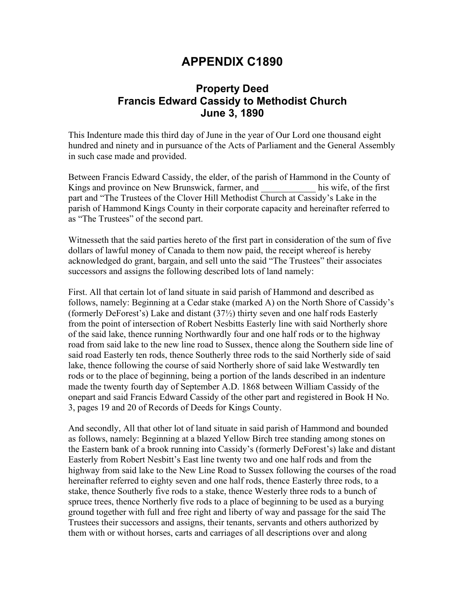## **Property Deed Francis Edward Cassidy to Methodist Church June 3, 1890**

This Indenture made this third day of June in the year of Our Lord one thousand eight hundred and ninety and in pursuance of the Acts of Parliament and the General Assembly in such case made and provided.

Between Francis Edward Cassidy, the elder, of the parish of Hammond in the County of Kings and province on New Brunswick, farmer, and his wife, of the first part and "The Trustees of the Clover Hill Methodist Church at Cassidy's Lake in the parish of Hammond Kings County in their corporate capacity and hereinafter referred to as "The Trustees" of the second part.

Witnesseth that the said parties hereto of the first part in consideration of the sum of five dollars of lawful money of Canada to them now paid, the receipt whereof is hereby acknowledged do grant, bargain, and sell unto the said "The Trustees" their associates successors and assigns the following described lots of land namely:

First. All that certain lot of land situate in said parish of Hammond and described as follows, namely: Beginning at a Cedar stake (marked A) on the North Shore of Cassidy's (formerly DeForest's) Lake and distant (37½) thirty seven and one half rods Easterly from the point of intersection of Robert Nesbitts Easterly line with said Northerly shore of the said lake, thence running Northwardly four and one half rods or to the highway road from said lake to the new line road to Sussex, thence along the Southern side line of said road Easterly ten rods, thence Southerly three rods to the said Northerly side of said lake, thence following the course of said Northerly shore of said lake Westwardly ten rods or to the place of beginning, being a portion of the lands described in an indenture made the twenty fourth day of September A.D. 1868 between William Cassidy of the onepart and said Francis Edward Cassidy of the other part and registered in Book H No. 3, pages 19 and 20 of Records of Deeds for Kings County.

And secondly, All that other lot of land situate in said parish of Hammond and bounded as follows, namely: Beginning at a blazed Yellow Birch tree standing among stones on the Eastern bank of a brook running into Cassidy's (formerly DeForest's) lake and distant Easterly from Robert Nesbitt's East line twenty two and one half rods and from the highway from said lake to the New Line Road to Sussex following the courses of the road hereinafter referred to eighty seven and one half rods, thence Easterly three rods, to a stake, thence Southerly five rods to a stake, thence Westerly three rods to a bunch of spruce trees, thence Northerly five rods to a place of beginning to be used as a burying ground together with full and free right and liberty of way and passage for the said The Trustees their successors and assigns, their tenants, servants and others authorized by them with or without horses, carts and carriages of all descriptions over and along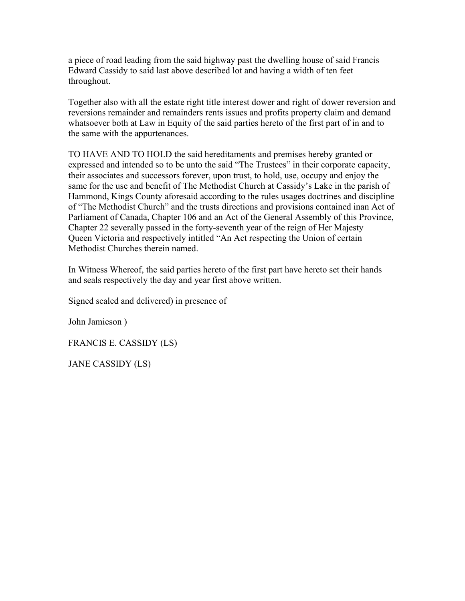a piece of road leading from the said highway past the dwelling house of said Francis Edward Cassidy to said last above described lot and having a width of ten feet throughout.

Together also with all the estate right title interest dower and right of dower reversion and reversions remainder and remainders rents issues and profits property claim and demand whatsoever both at Law in Equity of the said parties hereto of the first part of in and to the same with the appurtenances.

TO HAVE AND TO HOLD the said hereditaments and premises hereby granted or expressed and intended so to be unto the said "The Trustees" in their corporate capacity, their associates and successors forever, upon trust, to hold, use, occupy and enjoy the same for the use and benefit of The Methodist Church at Cassidy's Lake in the parish of Hammond, Kings County aforesaid according to the rules usages doctrines and discipline of "The Methodist Church" and the trusts directions and provisions contained inan Act of Parliament of Canada, Chapter 106 and an Act of the General Assembly of this Province, Chapter 22 severally passed in the forty-seventh year of the reign of Her Majesty Queen Victoria and respectively intitled "An Act respecting the Union of certain Methodist Churches therein named.

In Witness Whereof, the said parties hereto of the first part have hereto set their hands and seals respectively the day and year first above written.

Signed sealed and delivered) in presence of

John Jamieson )

FRANCIS E. CASSIDY (LS)

JANE CASSIDY (LS)